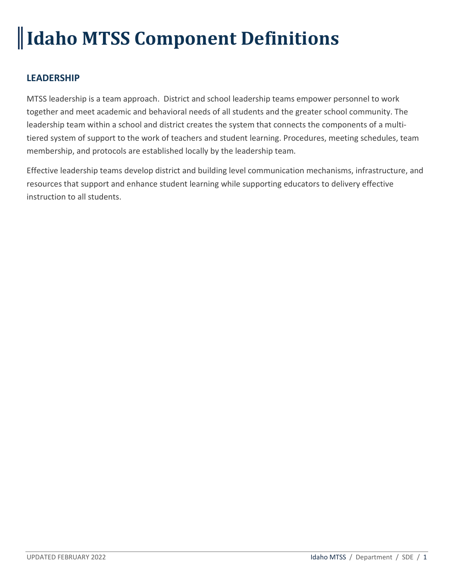# **Idaho MTSS Component Definitions**

## **LEADERSHIP**

MTSS leadership is a team approach. District and school leadership teams empower personnel to work together and meet academic and behavioral needs of all students and the greater school community. The leadership team within a school and district creates the system that connects the components of a multitiered system of support to the work of teachers and student learning. Procedures, meeting schedules, team membership, and protocols are established locally by the leadership team.

Effective leadership teams develop district and building level communication mechanisms, infrastructure, and resources that support and enhance student learning while supporting educators to delivery effective instruction to all students.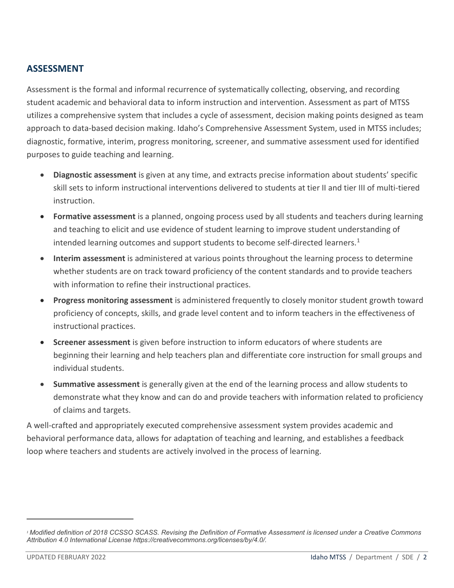## **ASSESSMENT**

Assessment is the formal and informal recurrence of systematically collecting, observing, and recording student academic and behavioral data to inform instruction and intervention. Assessment as part of MTSS utilizes a comprehensive system that includes a cycle of assessment, decision making points designed as team approach to data-based decision making. Idaho's Comprehensive Assessment System, used in MTSS includes; diagnostic, formative, interim, progress monitoring, screener, and summative assessment used for identified purposes to guide teaching and learning.

- **Diagnostic assessment** is given at any time, and extracts precise information about students' specific skill sets to inform instructional interventions delivered to students at tier II and tier III of multi-tiered instruction.
- **Formative assessment** is a planned, ongoing process used by all students and teachers during learning and teaching to elicit and use evidence of student learning to improve student understanding of intended learning outcomes and support students to become self-directed learners. [1](#page-1-0)
- **Interim assessment** is administered at various points throughout the learning process to determine whether students are on track toward proficiency of the content standards and to provide teachers with information to refine their instructional practices.
- **Progress monitoring assessment** is administered frequently to closely monitor student growth toward proficiency of concepts, skills, and grade level content and to inform teachers in the effectiveness of instructional practices.
- **Screener assessment** is given before instruction to inform educators of where students are beginning their learning and help teachers plan and differentiate core instruction for small groups and individual students.
- **Summative assessment** is generally given at the end of the learning process and allow students to demonstrate what they know and can do and provide teachers with information related to proficiency of claims and targets.

A well-crafted and appropriately executed comprehensive assessment system provides academic and behavioral performance data, allows for adaptation of teaching and learning, and establishes a feedback loop where teachers and students are actively involved in the process of learning.

 $\overline{a}$ 

<span id="page-1-0"></span>*<sup>1</sup> Modified definition of 2018 CCSSO SCASS. Revising the Definition of Formative Assessment is licensed under a Creative Commons Attribution 4.0 International License https://creativecommons.org/licenses/by/4.0/.*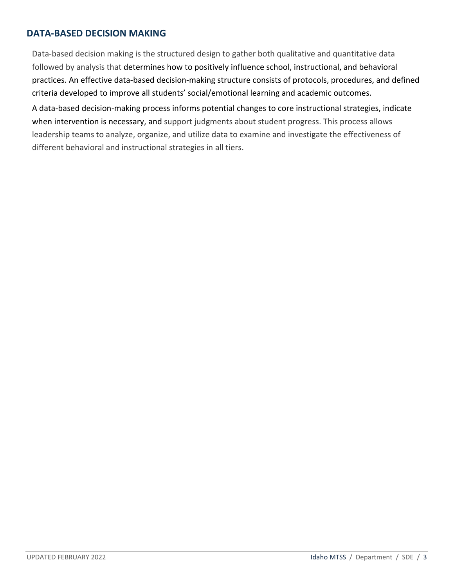## **DATA-BASED DECISION MAKING**

Data-based decision making is the structured design to gather both qualitative and quantitative data followed by analysis that determines how to positively influence school, instructional, and behavioral practices. An effective data-based decision-making structure consists of protocols, procedures, and defined criteria developed to improve all students' social/emotional learning and academic outcomes.

A data-based decision-making process informs potential changes to core instructional strategies, indicate when intervention is necessary, and support judgments about student progress. This process allows leadership teams to analyze, organize, and utilize data to examine and investigate the effectiveness of different behavioral and instructional strategies in all tiers.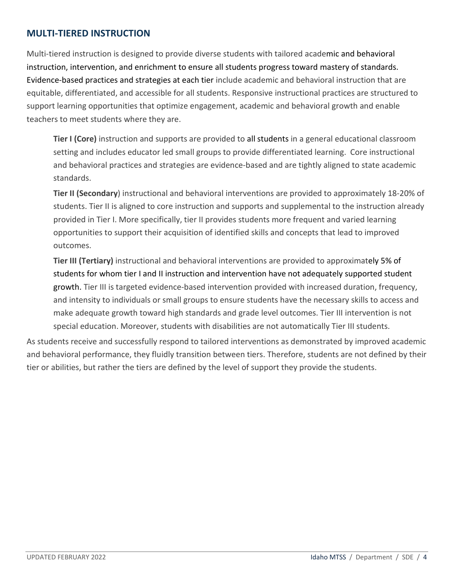### **MULTI-TIERED INSTRUCTION**

Multi-tiered instruction is designed to provide diverse students with tailored academic and behavioral instruction, intervention, and enrichment to ensure all students progress toward mastery of standards. Evidence-based practices and strategies at each tier include academic and behavioral instruction that are equitable, differentiated, and accessible for all students. Responsive instructional practices are structured to support learning opportunities that optimize engagement, academic and behavioral growth and enable teachers to meet students where they are.

**Tier I (Core)** instruction and supports are provided to all students in a general educational classroom setting and includes educator led small groups to provide differentiated learning. Core instructional and behavioral practices and strategies are evidence-based and are tightly aligned to state academic standards.

**Tier II (Secondary**) instructional and behavioral interventions are provided to approximately 18-20% of students. Tier II is aligned to core instruction and supports and supplemental to the instruction already provided in Tier I. More specifically, tier II provides students more frequent and varied learning opportunities to support their acquisition of identified skills and concepts that lead to improved outcomes.

**Tier III (Tertiary)** instructional and behavioral interventions are provided to approximately 5% of students for whom tier I and II instruction and intervention have not adequately supported student growth. Tier III is targeted evidence-based intervention provided with increased duration, frequency, and intensity to individuals or small groups to ensure students have the necessary skills to access and make adequate growth toward high standards and grade level outcomes. Tier III intervention is not special education. Moreover, students with disabilities are not automatically Tier III students.

As students receive and successfully respond to tailored interventions as demonstrated by improved academic and behavioral performance, they fluidly transition between tiers. Therefore, students are not defined by their tier or abilities, but rather the tiers are defined by the level of support they provide the students.